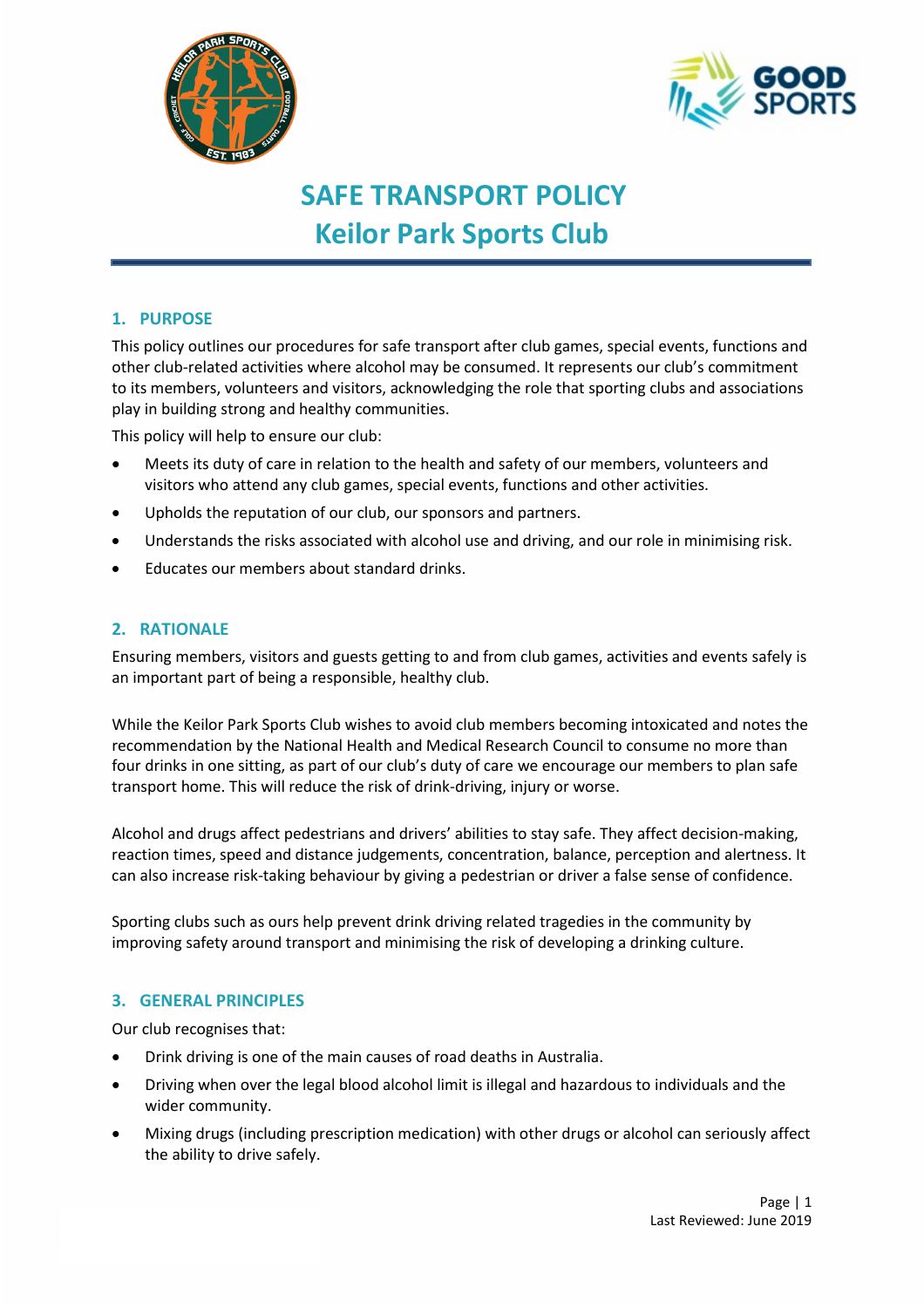



# **SAFE TRANSPORT POLICY Keilor Park Sports Club**

# **1. PURPOSE**

This policy outlines our procedures for safe transport after club games, special events, functions and other club-related activities where alcohol may be consumed. It represents our club's commitment to its members, volunteers and visitors, acknowledging the role that sporting clubs and associations play in building strong and healthy communities.

This policy will help to ensure our club:

- Meets its duty of care in relation to the health and safety of our members, volunteers and visitors who attend any club games, special events, functions and other activities.
- Upholds the reputation of our club, our sponsors and partners.
- Understands the risks associated with alcohol use and driving, and our role in minimising risk.
- Educates our members about standard drinks.

## **2. RATIONALE**

Ensuring members, visitors and guests getting to and from club games, activities and events safely is an important part of being a responsible, healthy club.

While the Keilor Park Sports Club wishes to avoid club members becoming intoxicated and notes the recommendation by the National Health and Medical Research Council to consume no more than four drinks in one sitting, as part of our club's duty of care we encourage our members to plan safe transport home. This will reduce the risk of drink-driving, injury or worse.

Alcohol and drugs affect pedestrians and drivers' abilities to stay safe. They affect decision-making, reaction times, speed and distance judgements, concentration, balance, perception and alertness. It can also increase risk-taking behaviour by giving a pedestrian or driver a false sense of confidence.

Sporting clubs such as ours help prevent drink driving related tragedies in the community by improving safety around transport and minimising the risk of developing a drinking culture.

#### **3. GENERAL PRINCIPLES**

Our club recognises that:

- Drink driving is one of the main causes of road deaths in Australia.
- Driving when over the legal blood alcohol limit is illegal and hazardous to individuals and the wider community.
- Mixing drugs (including prescription medication) with other drugs or alcohol can seriously affect the ability to drive safely.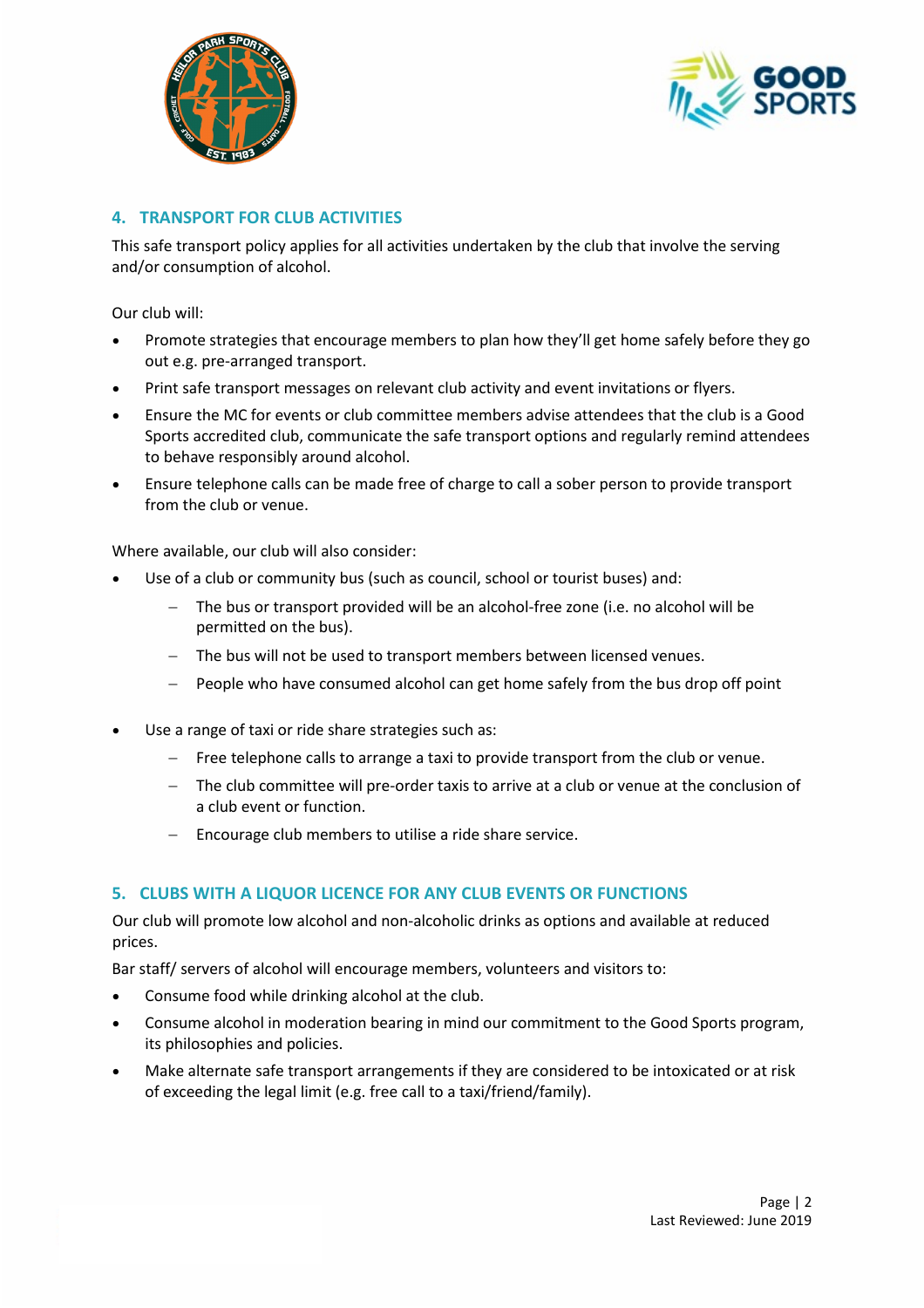



## **4. TRANSPORT FOR CLUB ACTIVITIES**

This safe transport policy applies for all activities undertaken by the club that involve the serving and/or consumption of alcohol.

Our club will:

- Promote strategies that encourage members to plan how they'll get home safely before they go out e.g. pre-arranged transport.
- Print safe transport messages on relevant club activity and event invitations or flyers.
- Ensure the MC for events or club committee members advise attendees that the club is a Good Sports accredited club, communicate the safe transport options and regularly remind attendees to behave responsibly around alcohol.
- Ensure telephone calls can be made free of charge to call a sober person to provide transport from the club or venue.

Where available, our club will also consider:

- Use of a club or community bus (such as council, school or tourist buses) and:
	- The bus or transport provided will be an alcohol-free zone (i.e. no alcohol will be permitted on the bus).
	- − The bus will not be used to transport members between licensed venues.
	- People who have consumed alcohol can get home safely from the bus drop off point
- Use a range of taxi or ride share strategies such as:
	- Free telephone calls to arrange a taxi to provide transport from the club or venue.
	- − The club committee will pre-order taxis to arrive at a club or venue at the conclusion of a club event or function.
	- − Encourage club members to utilise a ride share service.

## **5. CLUBS WITH A LIQUOR LICENCE FOR ANY CLUB EVENTS OR FUNCTIONS**

Our club will promote low alcohol and non-alcoholic drinks as options and available at reduced prices.

Bar staff/ servers of alcohol will encourage members, volunteers and visitors to:

- Consume food while drinking alcohol at the club.
- Consume alcohol in moderation bearing in mind our commitment to the Good Sports program, its philosophies and policies.
- Make alternate safe transport arrangements if they are considered to be intoxicated or at risk of exceeding the legal limit (e.g. free call to a taxi/friend/family).